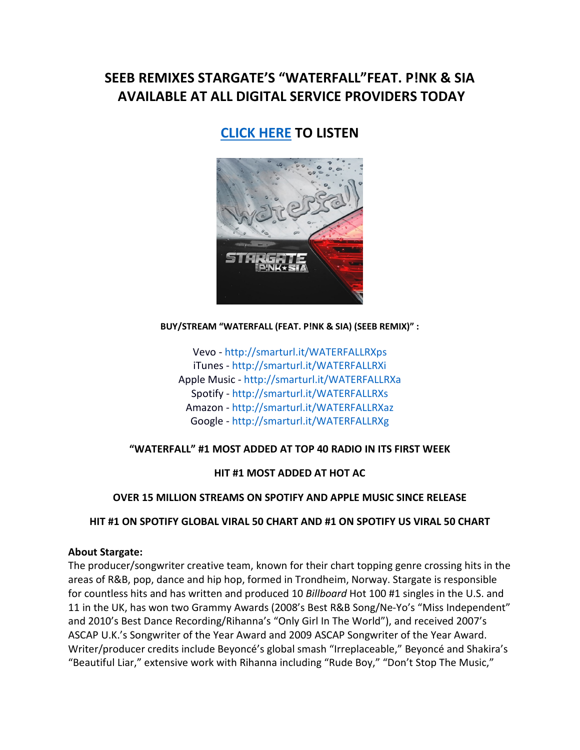# **SEEB REMIXES STARGATE'S "WATERFALL"FEAT. P!NK & SIA AVAILABLE AT ALL DIGITAL SERVICE PROVIDERS TODAY**

# **[CLICK HERE](http://smarturl.it/WATERFALLRXps) TO LISTEN**



#### **BUY/STREAM "WATERFALL (FEAT. P!NK & SIA) (SEEB REMIX)" :**

Vevo - <http://smarturl.it/WATERFALLRXps> iTunes - <http://smarturl.it/WATERFALLRXi> Apple Music - <http://smarturl.it/WATERFALLRXa> Spotify - <http://smarturl.it/WATERFALLRXs> Amazon - <http://smarturl.it/WATERFALLRXaz> Google - <http://smarturl.it/WATERFALLRXg>

## **"WATERFALL" #1 MOST ADDED AT TOP 40 RADIO IN ITS FIRST WEEK**

**HIT #1 MOST ADDED AT HOT AC** 

## **OVER 15 MILLION STREAMS ON SPOTIFY AND APPLE MUSIC SINCE RELEASE**

## **HIT #1 ON SPOTIFY GLOBAL VIRAL 50 CHART AND #1 ON SPOTIFY US VIRAL 50 CHART**

## **About Stargate:**

The producer/songwriter creative team, known for their chart topping genre crossing hits in the areas of R&B, pop, dance and hip hop, formed in Trondheim, Norway. Stargate is responsible for countless hits and has written and produced 10 *Billboard* Hot 100 #1 singles in the U.S. and 11 in the UK, has won two Grammy Awards (2008's Best R&B Song/Ne-Yo's "Miss Independent" and 2010's Best Dance Recording/Rihanna's "Only Girl In The World"), and received 2007's ASCAP U.K.'s Songwriter of the Year Award and 2009 ASCAP Songwriter of the Year Award. Writer/producer credits include Beyoncé's global smash "Irreplaceable," Beyoncé and Shakira's "Beautiful Liar," extensive work with Rihanna including "Rude Boy," "Don't Stop The Music,"